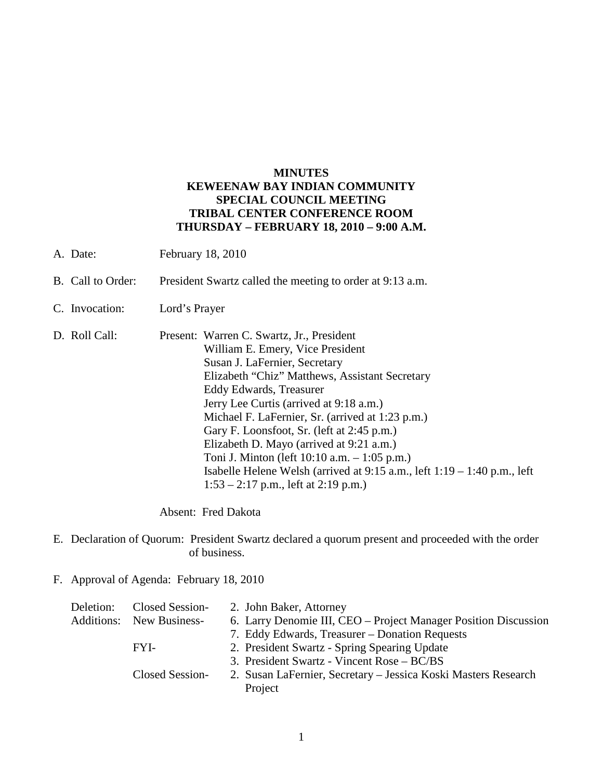# **MINUTES KEWEENAW BAY INDIAN COMMUNITY SPECIAL COUNCIL MEETING TRIBAL CENTER CONFERENCE ROOM THURSDAY – FEBRUARY 18, 2010 – 9:00 A.M.**

- A. Date: February 18, 2010
- B. Call to Order: President Swartz called the meeting to order at 9:13 a.m.
- C. Invocation: Lord's Prayer
- D. Roll Call: Present: Warren C. Swartz, Jr., President William E. Emery, Vice President Susan J. LaFernier, Secretary Elizabeth "Chiz" Matthews, Assistant Secretary Eddy Edwards, Treasurer Jerry Lee Curtis (arrived at 9:18 a.m.) Michael F. LaFernier, Sr. (arrived at 1:23 p.m.) Gary F. Loonsfoot, Sr. (left at 2:45 p.m.) Elizabeth D. Mayo (arrived at 9:21 a.m.) Toni J. Minton (left 10:10 a.m. – 1:05 p.m.) Isabelle Helene Welsh (arrived at 9:15 a.m., left 1:19 – 1:40 p.m., left  $1:53 - 2:17$  p.m., left at 2:19 p.m.)

Absent: Fred Dakota

- E. Declaration of Quorum: President Swartz declared a quorum present and proceeded with the order of business.
- F. Approval of Agenda: February 18, 2010

| Deletion: | <b>Closed Session-</b>          | 2. John Baker, Attorney                                         |
|-----------|---------------------------------|-----------------------------------------------------------------|
|           | <b>Additions:</b> New Business- | 6. Larry Denomie III, CEO – Project Manager Position Discussion |
|           |                                 | 7. Eddy Edwards, Treasurer – Donation Requests                  |
|           | FYI-                            | 2. President Swartz - Spring Spearing Update                    |
|           |                                 | 3. President Swartz - Vincent Rose – BC/BS                      |
|           | Closed Session-                 | 2. Susan LaFernier, Secretary – Jessica Koski Masters Research  |
|           |                                 | Project                                                         |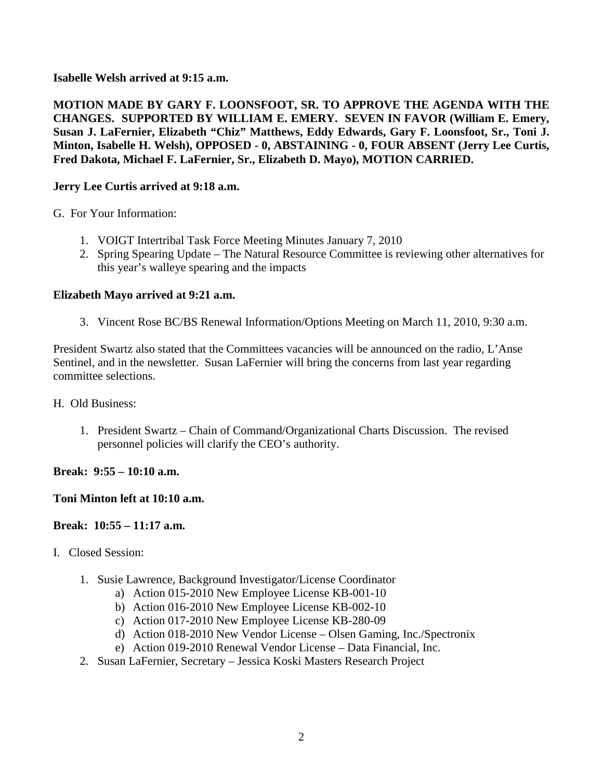**Isabelle Welsh arrived at 9:15 a.m.** 

**MOTION MADE BY GARY F. LOONSFOOT, SR. TO APPROVE THE AGENDA WITH THE CHANGES. SUPPORTED BY WILLIAM E. EMERY. SEVEN IN FAVOR (William E. Emery, Susan J. LaFernier, Elizabeth "Chiz" Matthews, Eddy Edwards, Gary F. Loonsfoot, Sr., Toni J. Minton, Isabelle H. Welsh), OPPOSED - 0, ABSTAINING - 0, FOUR ABSENT (Jerry Lee Curtis, Fred Dakota, Michael F. LaFernier, Sr., Elizabeth D. Mayo), MOTION CARRIED.** 

# **Jerry Lee Curtis arrived at 9:18 a.m.**

G. For Your Information:

- 1. VOIGT Intertribal Task Force Meeting Minutes January 7, 2010
- 2. Spring Spearing Update The Natural Resource Committee is reviewing other alternatives for this year's walleye spearing and the impacts

### **Elizabeth Mayo arrived at 9:21 a.m.**

3. Vincent Rose BC/BS Renewal Information/Options Meeting on March 11, 2010, 9:30 a.m.

President Swartz also stated that the Committees vacancies will be announced on the radio, L'Anse Sentinel, and in the newsletter. Susan LaFernier will bring the concerns from last year regarding committee selections.

H. Old Business:

1. President Swartz – Chain of Command/Organizational Charts Discussion. The revised personnel policies will clarify the CEO's authority.

### **Break: 9:55 – 10:10 a.m.**

### **Toni Minton left at 10:10 a.m.**

### **Break: 10:55 – 11:17 a.m.**

- I. Closed Session:
	- 1. Susie Lawrence, Background Investigator/License Coordinator
		- a) Action 015-2010 New Employee License KB-001-10
		- b) Action 016-2010 New Employee License KB-002-10
		- c) Action 017-2010 New Employee License KB-280-09
		- d) Action 018-2010 New Vendor License Olsen Gaming, Inc./Spectronix
		- e) Action 019-2010 Renewal Vendor License Data Financial, Inc.
	- 2. Susan LaFernier, Secretary Jessica Koski Masters Research Project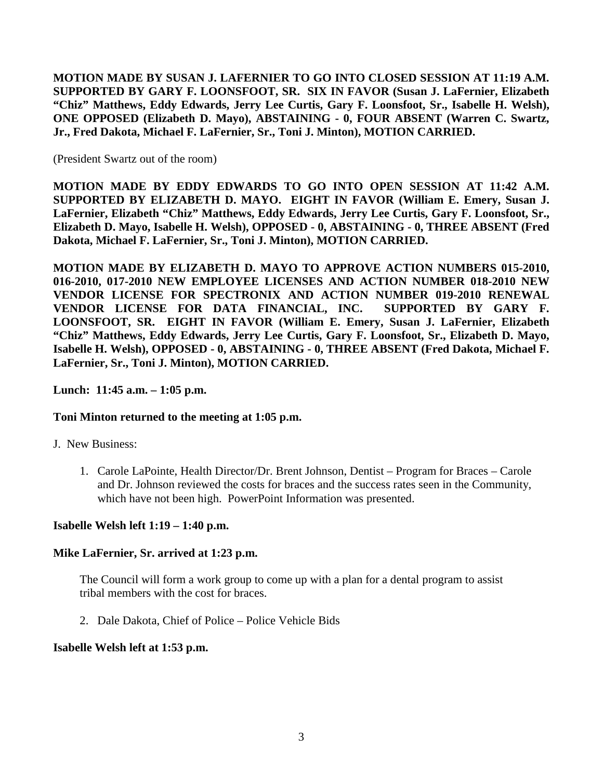**MOTION MADE BY SUSAN J. LAFERNIER TO GO INTO CLOSED SESSION AT 11:19 A.M. SUPPORTED BY GARY F. LOONSFOOT, SR. SIX IN FAVOR (Susan J. LaFernier, Elizabeth "Chiz" Matthews, Eddy Edwards, Jerry Lee Curtis, Gary F. Loonsfoot, Sr., Isabelle H. Welsh), ONE OPPOSED (Elizabeth D. Mayo), ABSTAINING - 0, FOUR ABSENT (Warren C. Swartz, Jr., Fred Dakota, Michael F. LaFernier, Sr., Toni J. Minton), MOTION CARRIED.** 

(President Swartz out of the room)

**MOTION MADE BY EDDY EDWARDS TO GO INTO OPEN SESSION AT 11:42 A.M. SUPPORTED BY ELIZABETH D. MAYO. EIGHT IN FAVOR (William E. Emery, Susan J. LaFernier, Elizabeth "Chiz" Matthews, Eddy Edwards, Jerry Lee Curtis, Gary F. Loonsfoot, Sr., Elizabeth D. Mayo, Isabelle H. Welsh), OPPOSED - 0, ABSTAINING - 0, THREE ABSENT (Fred Dakota, Michael F. LaFernier, Sr., Toni J. Minton), MOTION CARRIED.** 

**MOTION MADE BY ELIZABETH D. MAYO TO APPROVE ACTION NUMBERS 015-2010, 016-2010, 017-2010 NEW EMPLOYEE LICENSES AND ACTION NUMBER 018-2010 NEW VENDOR LICENSE FOR SPECTRONIX AND ACTION NUMBER 019-2010 RENEWAL VENDOR LICENSE FOR DATA FINANCIAL, INC. SUPPORTED BY GARY F. LOONSFOOT, SR. EIGHT IN FAVOR (William E. Emery, Susan J. LaFernier, Elizabeth "Chiz" Matthews, Eddy Edwards, Jerry Lee Curtis, Gary F. Loonsfoot, Sr., Elizabeth D. Mayo, Isabelle H. Welsh), OPPOSED - 0, ABSTAINING - 0, THREE ABSENT (Fred Dakota, Michael F. LaFernier, Sr., Toni J. Minton), MOTION CARRIED.** 

### **Lunch: 11:45 a.m. – 1:05 p.m.**

### **Toni Minton returned to the meeting at 1:05 p.m.**

J. New Business:

1. Carole LaPointe, Health Director/Dr. Brent Johnson, Dentist – Program for Braces – Carole and Dr. Johnson reviewed the costs for braces and the success rates seen in the Community, which have not been high. PowerPoint Information was presented.

#### **Isabelle Welsh left 1:19 – 1:40 p.m.**

#### **Mike LaFernier, Sr. arrived at 1:23 p.m.**

The Council will form a work group to come up with a plan for a dental program to assist tribal members with the cost for braces.

2. Dale Dakota, Chief of Police – Police Vehicle Bids

#### **Isabelle Welsh left at 1:53 p.m.**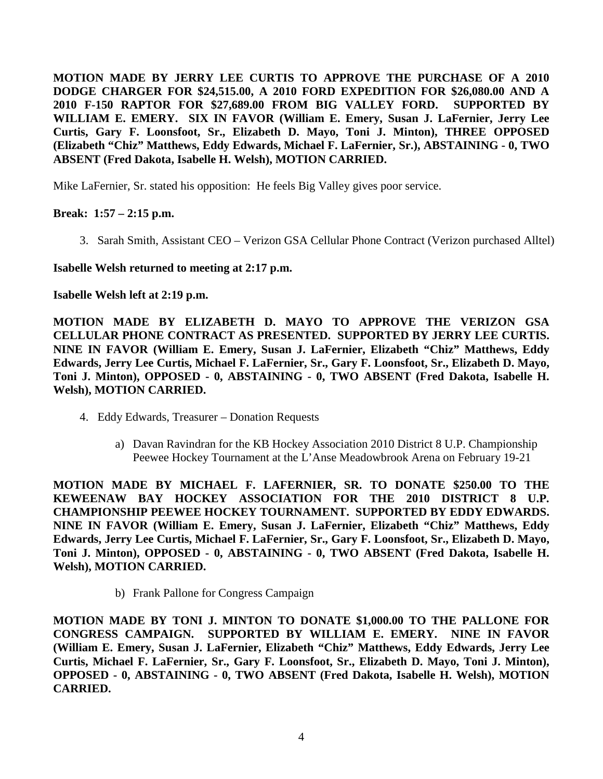**MOTION MADE BY JERRY LEE CURTIS TO APPROVE THE PURCHASE OF A 2010 DODGE CHARGER FOR \$24,515.00, A 2010 FORD EXPEDITION FOR \$26,080.00 AND A 2010 F-150 RAPTOR FOR \$27,689.00 FROM BIG VALLEY FORD. SUPPORTED BY WILLIAM E. EMERY. SIX IN FAVOR (William E. Emery, Susan J. LaFernier, Jerry Lee Curtis, Gary F. Loonsfoot, Sr., Elizabeth D. Mayo, Toni J. Minton), THREE OPPOSED (Elizabeth "Chiz" Matthews, Eddy Edwards, Michael F. LaFernier, Sr.), ABSTAINING - 0, TWO ABSENT (Fred Dakota, Isabelle H. Welsh), MOTION CARRIED.**

Mike LaFernier, Sr. stated his opposition: He feels Big Valley gives poor service.

# **Break: 1:57 – 2:15 p.m.**

3. Sarah Smith, Assistant CEO – Verizon GSA Cellular Phone Contract (Verizon purchased Alltel)

**Isabelle Welsh returned to meeting at 2:17 p.m.**

**Isabelle Welsh left at 2:19 p.m.** 

**MOTION MADE BY ELIZABETH D. MAYO TO APPROVE THE VERIZON GSA CELLULAR PHONE CONTRACT AS PRESENTED. SUPPORTED BY JERRY LEE CURTIS. NINE IN FAVOR (William E. Emery, Susan J. LaFernier, Elizabeth "Chiz" Matthews, Eddy Edwards, Jerry Lee Curtis, Michael F. LaFernier, Sr., Gary F. Loonsfoot, Sr., Elizabeth D. Mayo, Toni J. Minton), OPPOSED - 0, ABSTAINING - 0, TWO ABSENT (Fred Dakota, Isabelle H. Welsh), MOTION CARRIED.**

- 4. Eddy Edwards, Treasurer Donation Requests
	- a) Davan Ravindran for the KB Hockey Association 2010 District 8 U.P. Championship Peewee Hockey Tournament at the L'Anse Meadowbrook Arena on February 19-21

**MOTION MADE BY MICHAEL F. LAFERNIER, SR. TO DONATE \$250.00 TO THE KEWEENAW BAY HOCKEY ASSOCIATION FOR THE 2010 DISTRICT 8 U.P. CHAMPIONSHIP PEEWEE HOCKEY TOURNAMENT. SUPPORTED BY EDDY EDWARDS. NINE IN FAVOR (William E. Emery, Susan J. LaFernier, Elizabeth "Chiz" Matthews, Eddy Edwards, Jerry Lee Curtis, Michael F. LaFernier, Sr., Gary F. Loonsfoot, Sr., Elizabeth D. Mayo, Toni J. Minton), OPPOSED - 0, ABSTAINING - 0, TWO ABSENT (Fred Dakota, Isabelle H. Welsh), MOTION CARRIED.**

b) Frank Pallone for Congress Campaign

**MOTION MADE BY TONI J. MINTON TO DONATE \$1,000.00 TO THE PALLONE FOR CONGRESS CAMPAIGN. SUPPORTED BY WILLIAM E. EMERY. NINE IN FAVOR (William E. Emery, Susan J. LaFernier, Elizabeth "Chiz" Matthews, Eddy Edwards, Jerry Lee Curtis, Michael F. LaFernier, Sr., Gary F. Loonsfoot, Sr., Elizabeth D. Mayo, Toni J. Minton), OPPOSED - 0, ABSTAINING - 0, TWO ABSENT (Fred Dakota, Isabelle H. Welsh), MOTION CARRIED.**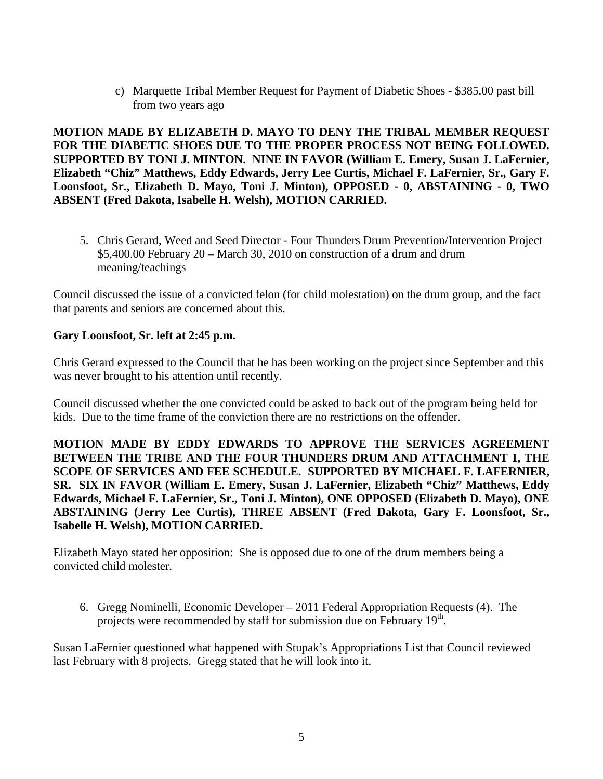c) Marquette Tribal Member Request for Payment of Diabetic Shoes - \$385.00 past bill from two years ago

**MOTION MADE BY ELIZABETH D. MAYO TO DENY THE TRIBAL MEMBER REQUEST FOR THE DIABETIC SHOES DUE TO THE PROPER PROCESS NOT BEING FOLLOWED. SUPPORTED BY TONI J. MINTON. NINE IN FAVOR (William E. Emery, Susan J. LaFernier, Elizabeth "Chiz" Matthews, Eddy Edwards, Jerry Lee Curtis, Michael F. LaFernier, Sr., Gary F. Loonsfoot, Sr., Elizabeth D. Mayo, Toni J. Minton), OPPOSED - 0, ABSTAINING - 0, TWO ABSENT (Fred Dakota, Isabelle H. Welsh), MOTION CARRIED.**

5. Chris Gerard, Weed and Seed Director - Four Thunders Drum Prevention/Intervention Project \$5,400.00 February 20 – March 30, 2010 on construction of a drum and drum meaning/teachings

Council discussed the issue of a convicted felon (for child molestation) on the drum group, and the fact that parents and seniors are concerned about this.

# **Gary Loonsfoot, Sr. left at 2:45 p.m.**

Chris Gerard expressed to the Council that he has been working on the project since September and this was never brought to his attention until recently.

Council discussed whether the one convicted could be asked to back out of the program being held for kids. Due to the time frame of the conviction there are no restrictions on the offender.

**MOTION MADE BY EDDY EDWARDS TO APPROVE THE SERVICES AGREEMENT BETWEEN THE TRIBE AND THE FOUR THUNDERS DRUM AND ATTACHMENT 1, THE SCOPE OF SERVICES AND FEE SCHEDULE. SUPPORTED BY MICHAEL F. LAFERNIER, SR. SIX IN FAVOR (William E. Emery, Susan J. LaFernier, Elizabeth "Chiz" Matthews, Eddy Edwards, Michael F. LaFernier, Sr., Toni J. Minton), ONE OPPOSED (Elizabeth D. Mayo), ONE ABSTAINING (Jerry Lee Curtis), THREE ABSENT (Fred Dakota, Gary F. Loonsfoot, Sr., Isabelle H. Welsh), MOTION CARRIED.**

Elizabeth Mayo stated her opposition: She is opposed due to one of the drum members being a convicted child molester.

6. Gregg Nominelli, Economic Developer – 2011 Federal Appropriation Requests (4). The projects were recommended by staff for submission due on February 19<sup>th</sup>.

Susan LaFernier questioned what happened with Stupak's Appropriations List that Council reviewed last February with 8 projects. Gregg stated that he will look into it.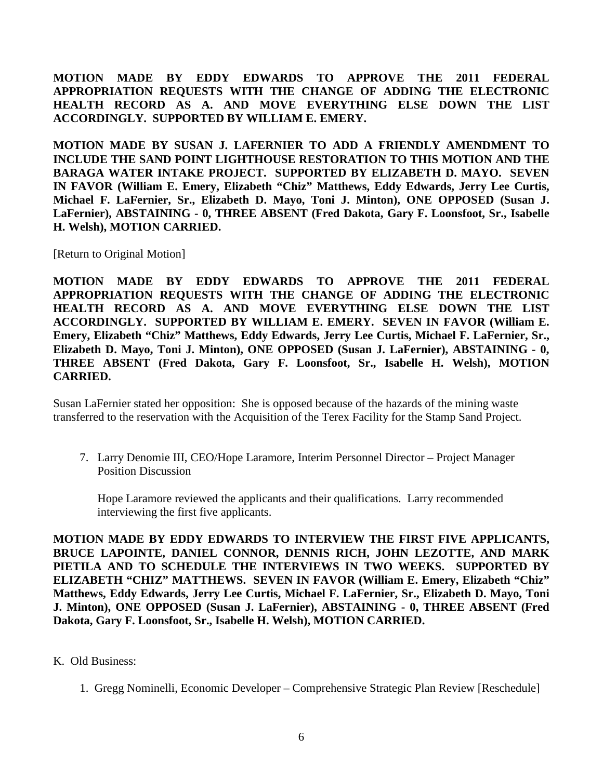**MOTION MADE BY EDDY EDWARDS TO APPROVE THE 2011 FEDERAL APPROPRIATION REQUESTS WITH THE CHANGE OF ADDING THE ELECTRONIC HEALTH RECORD AS A. AND MOVE EVERYTHING ELSE DOWN THE LIST ACCORDINGLY. SUPPORTED BY WILLIAM E. EMERY.** 

**MOTION MADE BY SUSAN J. LAFERNIER TO ADD A FRIENDLY AMENDMENT TO INCLUDE THE SAND POINT LIGHTHOUSE RESTORATION TO THIS MOTION AND THE BARAGA WATER INTAKE PROJECT. SUPPORTED BY ELIZABETH D. MAYO. SEVEN IN FAVOR (William E. Emery, Elizabeth "Chiz" Matthews, Eddy Edwards, Jerry Lee Curtis, Michael F. LaFernier, Sr., Elizabeth D. Mayo, Toni J. Minton), ONE OPPOSED (Susan J. LaFernier), ABSTAINING - 0, THREE ABSENT (Fred Dakota, Gary F. Loonsfoot, Sr., Isabelle H. Welsh), MOTION CARRIED.**

[Return to Original Motion]

**MOTION MADE BY EDDY EDWARDS TO APPROVE THE 2011 FEDERAL APPROPRIATION REQUESTS WITH THE CHANGE OF ADDING THE ELECTRONIC HEALTH RECORD AS A. AND MOVE EVERYTHING ELSE DOWN THE LIST ACCORDINGLY. SUPPORTED BY WILLIAM E. EMERY. SEVEN IN FAVOR (William E. Emery, Elizabeth "Chiz" Matthews, Eddy Edwards, Jerry Lee Curtis, Michael F. LaFernier, Sr., Elizabeth D. Mayo, Toni J. Minton), ONE OPPOSED (Susan J. LaFernier), ABSTAINING - 0, THREE ABSENT (Fred Dakota, Gary F. Loonsfoot, Sr., Isabelle H. Welsh), MOTION CARRIED.**

Susan LaFernier stated her opposition: She is opposed because of the hazards of the mining waste transferred to the reservation with the Acquisition of the Terex Facility for the Stamp Sand Project.

7. Larry Denomie III, CEO/Hope Laramore, Interim Personnel Director – Project Manager Position Discussion

Hope Laramore reviewed the applicants and their qualifications. Larry recommended interviewing the first five applicants.

**MOTION MADE BY EDDY EDWARDS TO INTERVIEW THE FIRST FIVE APPLICANTS, BRUCE LAPOINTE, DANIEL CONNOR, DENNIS RICH, JOHN LEZOTTE, AND MARK PIETILA AND TO SCHEDULE THE INTERVIEWS IN TWO WEEKS. SUPPORTED BY ELIZABETH "CHIZ" MATTHEWS. SEVEN IN FAVOR (William E. Emery, Elizabeth "Chiz" Matthews, Eddy Edwards, Jerry Lee Curtis, Michael F. LaFernier, Sr., Elizabeth D. Mayo, Toni J. Minton), ONE OPPOSED (Susan J. LaFernier), ABSTAINING - 0, THREE ABSENT (Fred Dakota, Gary F. Loonsfoot, Sr., Isabelle H. Welsh), MOTION CARRIED.**

#### K. Old Business:

1. Gregg Nominelli, Economic Developer – Comprehensive Strategic Plan Review [Reschedule]